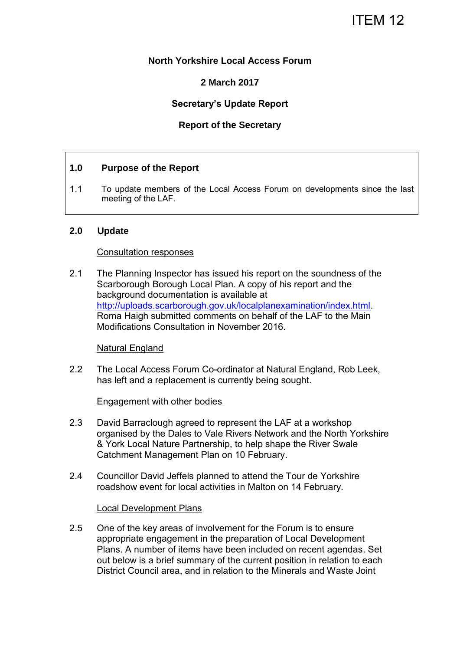# ITEM 12

## **North Yorkshire Local Access Forum**

## **2 March 2017**

## **Secretary's Update Report**

## **Report of the Secretary**

## **1.0 Purpose of the Report**

1.1 To update members of the Local Access Forum on developments since the last meeting of the LAF.

#### **2.0 Update**

#### Consultation responses

2.1 The Planning Inspector has issued his report on the soundness of the Scarborough Borough Local Plan. A copy of his report and the background documentation is available at [http://uploads.scarborough.gov.uk/localplanexamination/index.html.](http://uploads.scarborough.gov.uk/localplanexamination/index.html) Roma Haigh submitted comments on behalf of the LAF to the Main Modifications Consultation in November 2016.

#### Natural England

2.2 The Local Access Forum Co-ordinator at Natural England, Rob Leek, has left and a replacement is currently being sought.

#### Engagement with other bodies

- 2.3 David Barraclough agreed to represent the LAF at a workshop organised by the Dales to Vale Rivers Network and the North Yorkshire & York Local Nature Partnership, to help shape the River Swale Catchment Management Plan on 10 February.
- 2.4 Councillor David Jeffels planned to attend the Tour de Yorkshire roadshow event for local activities in Malton on 14 February.

#### Local Development Plans

2.5 One of the key areas of involvement for the Forum is to ensure appropriate engagement in the preparation of Local Development Plans. A number of items have been included on recent agendas. Set out below is a brief summary of the current position in relation to each District Council area, and in relation to the Minerals and Waste Joint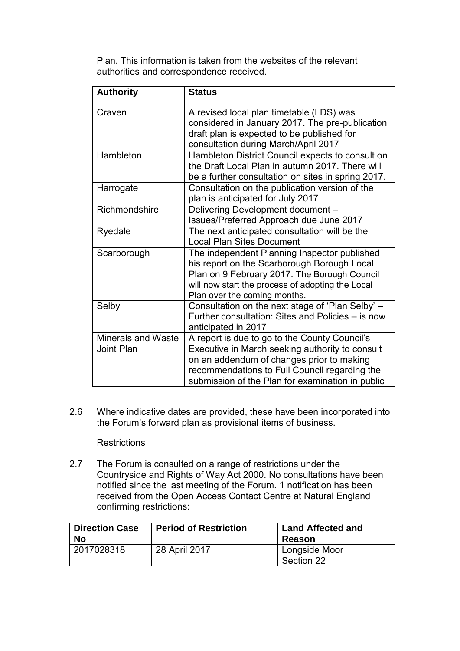Plan. This information is taken from the websites of the relevant authorities and correspondence received.

| <b>Authority</b>                        | <b>Status</b>                                                                                                                                                                                                                                      |  |
|-----------------------------------------|----------------------------------------------------------------------------------------------------------------------------------------------------------------------------------------------------------------------------------------------------|--|
| Craven                                  | A revised local plan timetable (LDS) was<br>considered in January 2017. The pre-publication<br>draft plan is expected to be published for                                                                                                          |  |
|                                         | consultation during March/April 2017                                                                                                                                                                                                               |  |
| Hambleton                               | Hambleton District Council expects to consult on<br>the Draft Local Plan in autumn 2017. There will<br>be a further consultation on sites in spring 2017.                                                                                          |  |
| Harrogate                               | Consultation on the publication version of the<br>plan is anticipated for July 2017                                                                                                                                                                |  |
| Richmondshire                           | Delivering Development document -<br>Issues/Preferred Approach due June 2017                                                                                                                                                                       |  |
| Ryedale                                 | The next anticipated consultation will be the<br><b>Local Plan Sites Document</b>                                                                                                                                                                  |  |
| Scarborough                             | The independent Planning Inspector published<br>his report on the Scarborough Borough Local<br>Plan on 9 February 2017. The Borough Council<br>will now start the process of adopting the Local<br>Plan over the coming months.                    |  |
| Selby                                   | Consultation on the next stage of 'Plan Selby' -<br>Further consultation: Sites and Policies - is now<br>anticipated in 2017                                                                                                                       |  |
| <b>Minerals and Waste</b><br>Joint Plan | A report is due to go to the County Council's<br>Executive in March seeking authority to consult<br>on an addendum of changes prior to making<br>recommendations to Full Council regarding the<br>submission of the Plan for examination in public |  |

2.6 Where indicative dates are provided, these have been incorporated into the Forum's forward plan as provisional items of business.

## **Restrictions**

2.7 The Forum is consulted on a range of restrictions under the Countryside and Rights of Way Act 2000. No consultations have been notified since the last meeting of the Forum. 1 notification has been received from the Open Access Contact Centre at Natural England confirming restrictions:

| <b>Direction Case</b><br><b>No</b> | <b>Period of Restriction</b> | <b>Land Affected and</b><br>Reason |
|------------------------------------|------------------------------|------------------------------------|
| 2017028318                         | 28 April 2017                | Longside Moor<br>Section 22        |